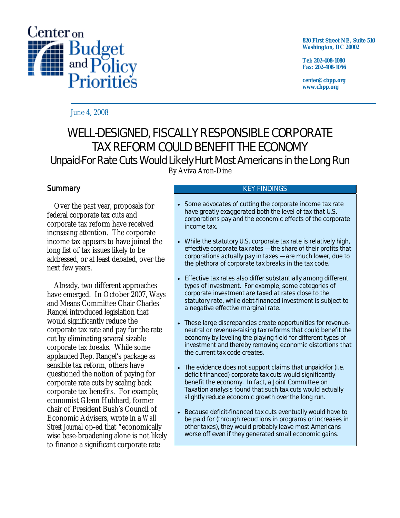

**820 First Street NE, Suite 510 Washington, DC 20002** 

**Tel: 202-408-1080 Fax: 202-408-1056** 

**center@cbpp.org www.cbpp.org** 

June 4, 2008

# WELL-DESIGNED, FISCALLY RESPONSIBLE CORPORATE TAX REFORM COULD BENEFIT THE ECONOMY

# Unpaid-For Rate Cuts Would Likely Hurt Most Americans in the Long Run

By Aviva Aron-Dine

# **Summary**

 Over the past year, proposals for federal corporate tax cuts and corporate tax reform have received increasing attention. The corporate income tax appears to have joined the long list of tax issues likely to be addressed, or at least debated, over the next few years.

 Already, two different approaches have emerged. In October 2007, Ways and Means Committee Chair Charles Rangel introduced legislation that would significantly reduce the corporate tax rate and pay for the rate cut by eliminating several sizable corporate tax breaks. While some applauded Rep. Rangel's package as sensible tax reform, others have questioned the notion of paying for corporate rate cuts by scaling back corporate tax benefits. For example, economist Glenn Hubbard, former chair of President Bush's Council of Economic Advisers, wrote in a *Wall Street Journal* op-ed that "economically wise base-broadening alone is not likely to finance a significant corporate rate

#### KEY FINDINGS

- Some advocates of cutting the corporate income tax rate have greatly exaggerated both the level of tax that U.S. corporations pay and the economic effects of the corporate income tax.
- While the *statutory* U.S. corporate tax rate is relatively high, *effective* corporate tax rates — the share of their profits that corporations actually pay in taxes — are much lower, due to the plethora of corporate tax breaks in the tax code.
- Effective tax rates also differ substantially among different types of investment. For example, some categories of corporate investment are taxed at rates close to the statutory rate, while debt-financed investment is subject to a negative effective marginal rate.
- These large discrepancies create opportunities for revenueneutral or revenue-raising tax reforms that could benefit the economy by leveling the playing field for different types of investment and thereby removing economic distortions that the current tax code creates.
- The evidence does not support claims that *unpaid-for* (i.e. deficit-financed) corporate tax cuts would significantly benefit the economy. In fact, a Joint Committee on Taxation analysis found that such tax cuts would actually slightly *reduce* economic growth over the long run.
- Because deficit-financed tax cuts eventually would have to be paid for (through reductions in programs or increases in other taxes), they would probably leave most Americans worse off *even if* they generated small economic gains.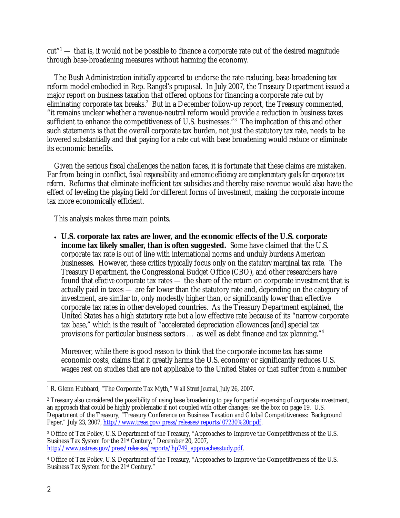$cut"$ <sup>1</sup> — that is, it would not be possible to finance a corporate rate cut of the desired magnitude through base-broadening measures without harming the economy.

 The Bush Administration initially appeared to endorse the rate-reducing, base-broadening tax reform model embodied in Rep. Rangel's proposal. In July 2007, the Treasury Department issued a major report on business taxation that offered options for financing a corporate rate cut by eliminating corporate tax breaks.<sup>2</sup> But in a December follow-up report, the Treasury commented, "it remains unclear whether a revenue-neutral reform would provide a reduction in business taxes sufficient to enhance the competitiveness of U.S. businesses.<sup>53</sup> The implication of this and other such statements is that the overall corporate tax burden, not just the statutory tax rate, needs to be lowered substantially and that paying for a rate cut with base broadening would reduce or eliminate its economic benefits.

 Given the serious fiscal challenges the nation faces, it is fortunate that these claims are mistaken. Far from being in conflict, *fiscal responsibility and economic efficiency are complementary goals for corporate tax reform*. Reforms that eliminate inefficient tax subsidies and thereby raise revenue would also have the effect of leveling the playing field for different forms of investment, making the corporate income tax more economically efficient.

This analysis makes three main points.

• **U.S. corporate tax rates are lower, and the economic effects of the U.S. corporate income tax likely smaller, than is often suggested.** Some have claimed that the U.S. corporate tax rate is out of line with international norms and unduly burdens American businesses. However, these critics typically focus only on the *statutory* marginal tax rate. The Treasury Department, the Congressional Budget Office (CBO), and other researchers have found that *effective* corporate tax rates — the share of the return on corporate investment that is actually paid in taxes — are far lower than the statutory rate and, depending on the category of investment, are similar to, only modestly higher than, or significantly lower than effective corporate tax rates in other developed countries. As the Treasury Department explained, the United States has a high statutory rate but a low effective rate because of its "narrow corporate tax base," which is the result of "accelerated depreciation allowances [and] special tax provisions for particular business sectors … as well as debt finance and tax planning."4

Moreover, while there is good reason to think that the corporate income tax has some economic costs, claims that it greatly harms the U.S. economy or significantly reduces U.S. wages rest on studies that are not applicable to the United States or that suffer from a number

3 Office of Tax Policy, U.S. Department of the Treasury, "Approaches to Improve the Competitiveness of the U.S. Business Tax System for the 21st Century," December 20, 2007, http://www.ustreas.gov/press/releases/reports/hp749\_approachesstudy.pdf.

<sup>-</sup>1 R. Glenn Hubbard, "The Corporate Tax Myth," *Wall Street Journal*, July 26, 2007.

<sup>2</sup> Treasury also considered the possibility of using base broadening to pay for partial expensing of corporate investment, an approach that could be highly problematic if not coupled with other changes; see the box on page 19. U.S. Department of the Treasury, "Treasury Conference on Business Taxation and Global Competitiveness: Background Paper," July 23, 2007, http://www.treas.gov/press/releases/reports/07230%20r.pdf.

<sup>4</sup> Office of Tax Policy, U.S. Department of the Treasury, "Approaches to Improve the Competitiveness of the U.S. Business Tax System for the 21<sup>st</sup> Century."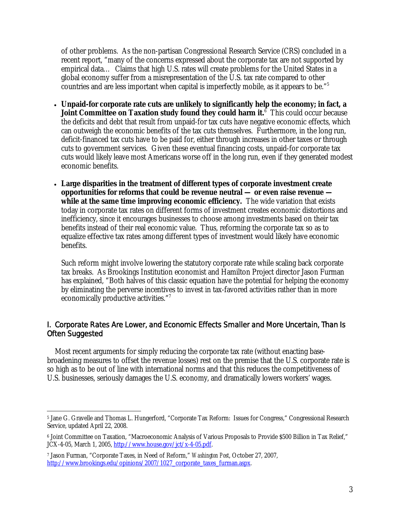of other problems. As the non-partisan Congressional Research Service (CRS) concluded in a recent report, "many of the concerns expressed about the corporate tax are not supported by empirical data… Claims that high U.S. rates will create problems for the United States in a global economy suffer from a misrepresentation of the U.S. tax rate compared to other countries and are less important when capital is imperfectly mobile, as it appears to be."5

- **Unpaid-for corporate rate cuts are unlikely to significantly help the economy; in fact, a Joint Committee on Taxation study found they could harm it.<sup>6</sup> This could occur because** the deficits and debt that result from unpaid-for tax cuts have negative economic effects, which can outweigh the economic benefits of the tax cuts themselves. Furthermore, in the long run, deficit-financed tax cuts have to be paid for, either through increases in other taxes or through cuts to government services. Given these eventual financing costs, unpaid-for corporate tax cuts would likely leave most Americans worse off in the long run, even if they generated modest economic benefits.
- **Large disparities in the treatment of different types of corporate investment create opportunities for reforms that could be revenue neutral — or even raise revenue**  while at the same time improving economic efficiency. The wide variation that exists today in corporate tax rates on different forms of investment creates economic distortions and inefficiency, since it encourages businesses to choose among investments based on their tax benefits instead of their real economic value. Thus, reforming the corporate tax so as to equalize effective tax rates among different types of investment would likely have economic benefits.

Such reform might involve lowering the statutory corporate rate while scaling back corporate tax breaks. As Brookings Institution economist and Hamilton Project director Jason Furman has explained, "Both halves of this classic equation have the potential for helping the economy by eliminating the perverse incentives to invest in tax-favored activities rather than in more economically productive activities."7

# I. Corporate Rates Are Lower, and Economic Effects Smaller and More Uncertain, Than Is Often Suggested

Most recent arguments for simply reducing the corporate tax rate (without enacting basebroadening measures to offset the revenue losses) rest on the premise that the U.S. corporate rate is so high as to be out of line with international norms and that this reduces the competitiveness of U.S. businesses, seriously damages the U.S. economy, and dramatically lowers workers' wages.

 $\overline{a}$ 5 Jane G. Gravelle and Thomas L. Hungerford, "Corporate Tax Reform: Issues for Congress," Congressional Research Service, updated April 22, 2008.

<sup>6</sup> Joint Committee on Taxation, "Macroeconomic Analysis of Various Proposals to Provide \$500 Billion in Tax Relief," JCX-4-05, March 1, 2005, http://www.house.gov/jct/x-4-05.pdf.

<sup>7</sup> Jason Furman, "Corporate Taxes, in Need of Reform," *Washington Post*, October 27, 2007, http://www.brookings.edu/opinions/2007/1027\_corporate\_taxes\_furman.aspx.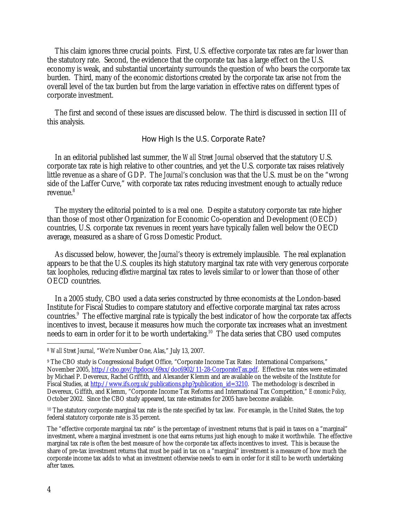This claim ignores three crucial points. First, U.S. effective corporate tax rates are far lower than the statutory rate. Second, the evidence that the corporate tax has a large effect on the U.S. economy is weak, and substantial uncertainty surrounds the question of who bears the corporate tax burden. Third, many of the economic distortions created by the corporate tax arise not from the overall level of the tax burden but from the large variation in effective rates on different types of corporate investment.

The first and second of these issues are discussed below. The third is discussed in section III of this analysis.

#### How High Is the U.S. Corporate Rate?

In an editorial published last summer, the *Wall Street Journal* observed that the statutory U.S. corporate tax rate is high relative to other countries, and yet the U.S. corporate tax raises relatively little revenue as a share of GDP. The *Journal*'s conclusion was that the U.S. must be on the "wrong side of the Laffer Curve," with corporate tax rates reducing investment enough to actually reduce revenue.<sup>8</sup>

The mystery the editorial pointed to is a real one. Despite a statutory corporate tax rate higher than those of most other Organization for Economic Co-operation and Development (OECD) countries, U.S. corporate tax revenues in recent years have typically fallen well below the OECD average, measured as a share of Gross Domestic Product.

As discussed below, however, the *Journal*'s theory is extremely implausible. The real explanation appears to be that the U.S. couples its high statutory marginal tax rate with very generous corporate tax loopholes, reducing *effective* marginal tax rates to levels similar to or lower than those of other OECD countries.

In a 2005 study, CBO used a data series constructed by three economists at the London-based Institute for Fiscal Studies to compare statutory and effective corporate marginal tax rates across countries.<sup>9</sup> The effective marginal rate is typically the best indicator of how the corporate tax affects incentives to invest, because it measures how much the corporate tax increases what an investment needs to earn in order for it to be worth undertaking.<sup>10</sup> The data series that CBO used computes

 $\overline{a}$ 

<sup>8</sup> *Wall Street Journal*, "We're Number One, Alas," July 13, 2007.

<sup>9</sup> The CBO study is Congressional Budget Office, "Corporate Income Tax Rates: International Comparisons," November 2005, http://cbo.gov/ftpdocs/69xx/doc6902/11-28-CorporateTax.pdf. Effective tax rates were estimated by Michael P. Devereux, Rachel Griffith, and Alexander Klemm and are available on the website of the Institute for Fiscal Studies, at http://www.ifs.org.uk/publications.php?publication\_id=3210. The methodology is described in Devereux, Giffith, and Klemm, "Corporate Income Tax Reforms and International Tax Competition," *Economic Policy*, October 2002. Since the CBO study appeared, tax rate estimates for 2005 have become available.

<sup>&</sup>lt;sup>10</sup> The statutory corporate marginal tax rate is the rate specified by tax law. For example, in the United States, the top federal statutory corporate rate is 35 percent.

The "effective corporate marginal tax rate" is the percentage of investment returns that is paid in taxes on a "marginal" investment, where a marginal investment is one that earns returns just high enough to make it worthwhile. The effective marginal tax rate is often the best measure of how the corporate tax affects incentives to invest. This is because the share of pre-tax investment returns that must be paid in tax on a "marginal" investment is a measure of how much the corporate income tax adds to what an investment otherwise needs to earn in order for it still to be worth undertaking after taxes.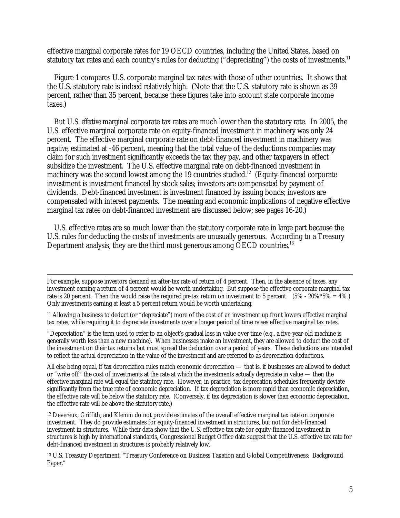effective marginal corporate rates for 19 OECD countries, including the United States, based on statutory tax rates and each country's rules for deducting ("depreciating") the costs of investments.<sup>11</sup>

 Figure 1 compares U.S. corporate marginal tax rates with those of other countries. It shows that the U.S. statutory rate is indeed relatively high. (Note that the U.S. statutory rate is shown as 39 percent, rather than 35 percent, because these figures take into account state corporate income taxes.)

 But U.S. *effective* marginal corporate tax rates are much lower than the statutory rate. In 2005, the U.S. effective marginal corporate rate on equity-financed investment in machinery was only 24 percent. The effective marginal corporate rate on debt-financed investment in machinery was *negative*, estimated at -46 percent, meaning that the total value of the deductions companies may claim for such investment significantly exceeds the tax they pay, and other taxpayers in effect subsidize the investment. The U.S. effective marginal rate on debt-financed investment in machinery was the second lowest among the 19 countries studied.<sup>12</sup> (Equity-financed corporate investment is investment financed by stock sales; investors are compensated by payment of dividends. Debt-financed investment is investment financed by issuing bonds; investors are compensated with interest payments. The meaning and economic implications of negative effective marginal tax rates on debt-financed investment are discussed below; see pages 16-20.)

 U.S. effective rates are so much lower than the statutory corporate rate in large part because the U.S. rules for deducting the costs of investments are unusually generous. According to a Treasury Department analysis, they are the third most generous among OECD countries.<sup>13</sup>

"Depreciation" is the term used to refer to an object's gradual loss in value over time (e.g., a five-year-old machine is generally worth less than a new machine). When businesses make an investment, they are allowed to deduct the cost of the investment on their tax returns but must spread the deduction over a period of years. These deductions are intended to reflect the actual depreciation in the value of the investment and are referred to as depreciation deductions.

All else being equal, if tax depreciation rules match economic depreciation — that is, if businesses are allowed to deduct or "write off" the cost of investments at the rate at which the investments actually depreciate in value — then the effective marginal rate will equal the statutory rate. However, in practice, tax deprecation schedules frequently deviate significantly from the true rate of economic depreciation. If tax depreciation is more rapid than economic depreciation, the effective rate will be below the statutory rate. (Conversely, if tax depreciation is slower than economic depreciation, the effective rate will be above the statutory rate.)

<sup>12</sup> Devereux, Griffith, and Klemm do not provide estimates of the overall effective marginal tax rate on corporate investment. They do provide estimates for equity-financed investment in structures, but not for debt-financed investment in structures. While their data show that the U.S. effective tax rate for equity-financed investment in structures is high by international standards, Congressional Budget Office data suggest that the U.S. effective tax rate for debt-financed investment in structures is probably relatively low.

13 U.S. Treasury Department, "Treasury Conference on Business Taxation and Global Competitiveness: Background Paper."

For example, suppose investors demand an after-tax rate of return of 4 percent. Then, in the absence of taxes, any investment earning a return of 4 percent would be worth undertaking. But suppose the effective corporate marginal tax rate is 20 percent. Then this would raise the required *pre-*tax return on investment to 5 percent. (5% - 20%\*5% = 4%.) Only investments earning at least a 5 percent return would be worth undertaking.

<sup>11</sup> Allowing a business to deduct (or "depreciate") more of the cost of an investment up front lowers effective marginal tax rates, while requiring it to depreciate investments over a longer period of time raises effective marginal tax rates.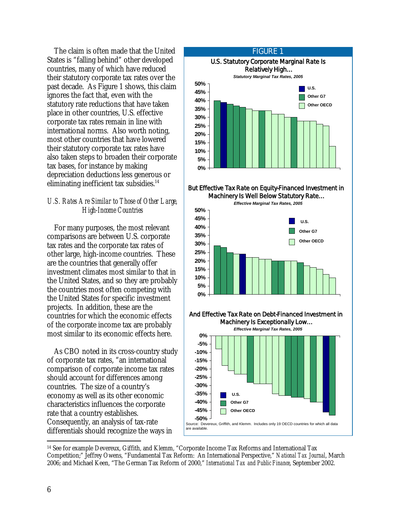The claim is often made that the United States is "falling behind" other developed countries, many of which have reduced their statutory corporate tax rates over the past decade. As Figure 1 shows, this claim ignores the fact that, even with the statutory rate reductions that have taken place in other countries, U.S. effective corporate tax rates remain in line with international norms. Also worth noting, most other countries that have lowered their statutory corporate tax rates have also taken steps to broaden their corporate tax bases, for instance by making depreciation deductions less generous or eliminating inefficient tax subsidies. $14$ 

### *U.S. Rates Are Similar to Those of Other Large, High-Income Countries*

 For many purposes, the most relevant comparisons are between U.S. corporate tax rates and the corporate tax rates of other large, high-income countries. These are the countries that generally offer investment climates most similar to that in the United States, and so they are probably the countries most often competing with the United States for specific investment projects. In addition, these are the countries for which the economic effects of the corporate income tax are probably most similar to its economic effects here.

 As CBO noted in its cross-country study of corporate tax rates, "an international comparison of corporate income tax rates should account for differences among countries. The size of a country's economy as well as its other economic characteristics influences the corporate rate that a country establishes. Consequently, an analysis of tax-rate differentials should recognize the ways in



I



#### And Effective Tax Rate on Debt-Financed Investment in Machinery Is Exceptionally Low...



-14 See for example Devereux, Giffith, and Klemm, "Corporate Income Tax Reforms and International Tax Competition;" Jeffrey Owens, "Fundamental Tax Reform: An International Perspective," *National Tax Journal*, March 2006; and Michael Keen, "The German Tax Reform of 2000," *International Tax and Public Finance*, September 2002.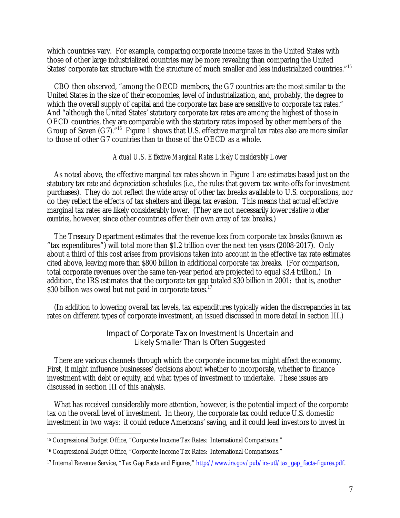which countries vary. For example, comparing corporate income taxes in the United States with those of other large industrialized countries may be more revealing than comparing the United States' corporate tax structure with the structure of much smaller and less industrialized countries."15

CBO then observed, "among the OECD members, the G7 countries are the most similar to the United States in the size of their economies, level of industrialization, and, probably, the degree to which the overall supply of capital and the corporate tax base are sensitive to corporate tax rates." And "although the United States' statutory corporate tax rates are among the highest of those in OECD countries, they are comparable with the statutory rates imposed by other members of the Group of Seven (G7).<sup>"16</sup> Figure 1 shows that U.S. effective marginal tax rates also are more similar to those of other G7 countries than to those of the OECD as a whole.

#### *Actual U.S. Effective Marginal Rates Likely Considerably Lower*

 As noted above, the effective marginal tax rates shown in Figure 1 are estimates based just on the statutory tax rate and depreciation schedules (i.e., the rules that govern tax write-offs for investment purchases). They do not reflect the wide array of other tax breaks available to U.S. corporations, nor do they reflect the effects of tax shelters and illegal tax evasion. This means that actual effective marginal tax rates are likely considerably lower. (They are not necessarily lower *relative to other countries*, however, since other countries offer their own array of tax breaks.)

 The Treasury Department estimates that the revenue loss from corporate tax breaks (known as "tax expenditures") will total more than \$1.2 trillion over the next ten years (2008-2017). Only about a third of this cost arises from provisions taken into account in the effective tax rate estimates cited above, leaving more than \$800 billion in additional corporate tax breaks. (For comparison, total corporate revenues over the same ten-year period are projected to equal \$3.4 trillion.) In addition, the IRS estimates that the corporate tax gap totaled \$30 billion in 2001: that is, another \$30 billion was owed but not paid in corporate taxes.<sup>17</sup>

 (In addition to lowering overall tax levels, tax expenditures typically widen the discrepancies in tax rates on different types of corporate investment, an issued discussed in more detail in section III.)

### Impact of Corporate Tax on Investment Is Uncertain and Likely Smaller Than Is Often Suggested

 There are various channels through which the corporate income tax might affect the economy. First, it might influence businesses' decisions about whether to incorporate, whether to finance investment with debt or equity, and what types of investment to undertake. These issues are discussed in section III of this analysis.

 What has received considerably more attention, however, is the potential impact of the corporate tax on the overall level of investment. In theory, the corporate tax could reduce U.S. domestic investment in two ways: it could reduce Americans' saving, and it could lead investors to invest in

<sup>-</sup>15 Congressional Budget Office, "Corporate Income Tax Rates: International Comparisons."

<sup>&</sup>lt;sup>16</sup> Congressional Budget Office, "Corporate Income Tax Rates: International Comparisons."

<sup>&</sup>lt;sup>17</sup> Internal Revenue Service, "Tax Gap Facts and Figures," http://www.irs.gov/pub/irs-utl/tax\_gap\_facts-figures.pdf.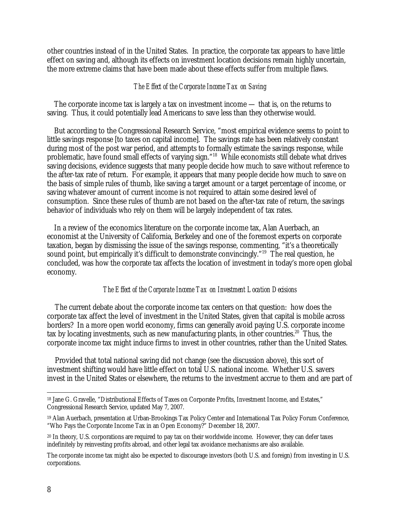other countries instead of in the United States. In practice, the corporate tax appears to have little effect on saving and, although its effects on investment location decisions remain highly uncertain, the more extreme claims that have been made about these effects suffer from multiple flaws.

#### *The Effect of the Corporate Income Tax on Saving*

 The corporate income tax is largely a tax on investment income — that is, on the returns to saving. Thus, it could potentially lead Americans to save less than they otherwise would.

 But according to the Congressional Research Service, "most empirical evidence seems to point to little savings response [to taxes on capital income]. The savings rate has been relatively constant during most of the post war period, and attempts to formally estimate the savings response, while problematic, have found small effects of varying sign."18 While economists still debate what drives saving decisions, evidence suggests that many people decide how much to save without reference to the after-tax rate of return. For example, it appears that many people decide how much to save on the basis of simple rules of thumb, like saving a target amount or a target percentage of income, or saving whatever amount of current income is not required to attain some desired level of consumption. Since these rules of thumb are not based on the after-tax rate of return, the savings behavior of individuals who rely on them will be largely independent of tax rates.

 In a review of the economics literature on the corporate income tax, Alan Auerbach, an economist at the University of California, Berkeley and one of the foremost experts on corporate taxation, began by dismissing the issue of the savings response, commenting, "it's a theoretically sound point, but empirically it's difficult to demonstrate convincingly."<sup>19</sup> The real question, he concluded, was how the corporate tax affects the location of investment in today's more open global economy.

#### *The Effect of the Corporate Income Tax on Investment Location Decisions*

 The current debate about the corporate income tax centers on that question: how does the corporate tax affect the level of investment in the United States, given that capital is mobile across borders? In a more open world economy, firms can generally avoid paying U.S. corporate income tax by locating investments, such as new manufacturing plants, in other countries.<sup>20</sup> Thus, the corporate income tax might induce firms to invest in other countries, rather than the United States.

 Provided that total national saving did not change (see the discussion above), this sort of investment shifting would have little effect on total U.S. national income. Whether U.S. savers invest in the United States or elsewhere, the returns to the investment accrue to them and are part of

 $\overline{a}$ 18 Jane G. Gravelle, "Distributional Effects of Taxes on Corporate Profits, Investment Income, and Estates," Congressional Research Service, updated May 7, 2007.

<sup>19</sup> Alan Auerbach, presentation at Urban-Brookings Tax Policy Center and International Tax Policy Forum Conference, "Who Pays the Corporate Income Tax in an Open Economy?" December 18, 2007.

<sup>&</sup>lt;sup>20</sup> In theory, U.S. corporations are required to pay tax on their worldwide income. However, they can defer taxes indefinitely by reinvesting profits abroad, and other legal tax avoidance mechanisms are also available.

The corporate income tax might also be expected to discourage investors (both U.S. and foreign) from investing in U.S. corporations.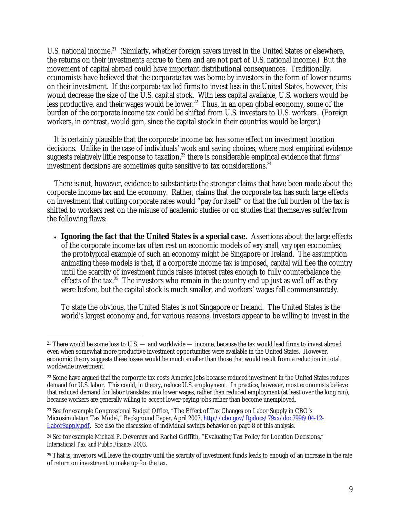U.S. national income.<sup>21</sup> (Similarly, whether foreign savers invest in the United States or elsewhere, the returns on their investments accrue to them and are not part of U.S. national income.) But the movement of capital abroad could have important distributional consequences. Traditionally, economists have believed that the corporate tax was borne by investors in the form of lower returns on their investment. If the corporate tax led firms to invest less in the United States, however, this would decrease the size of the U.S. capital stock. With less capital available, U.S. workers would be less productive, and their wages would be lower.<sup>22</sup> Thus, in an open global economy, some of the burden of the corporate income tax could be shifted from U.S. investors to U.S. workers. (Foreign workers, in contrast, would gain, since the capital stock in their countries would be larger.)

 It is certainly plausible that the corporate income tax has some effect on investment location decisions. Unlike in the case of individuals' work and saving choices, where most empirical evidence suggests relatively little response to taxation,<sup>23</sup> there is considerable empirical evidence that firms' investment decisions are sometimes quite sensitive to tax considerations.<sup>24</sup>

 There is not, however, evidence to substantiate the stronger claims that have been made about the corporate income tax and the economy. Rather, claims that the corporate tax has such large effects on investment that cutting corporate rates would "pay for itself" or that the full burden of the tax is shifted to workers rest on the misuse of academic studies or on studies that themselves suffer from the following flaws:

• **Ignoring the fact that the United States is a special case.** Assertions about the large effects of the corporate income tax often rest on economic models of *very small, very open* economies; the prototypical example of such an economy might be Singapore or Ireland. The assumption animating these models is that, if a corporate income tax is imposed, capital will flee the country until the scarcity of investment funds raises interest rates enough to fully counterbalance the effects of the tax.<sup>25</sup> The investors who remain in the country end up just as well off as they were before, but the capital stock is much smaller, and workers' wages fall commensurately.

To state the obvious, the United States is not Singapore or Ireland. The United States is the world's largest economy and, for various reasons, investors appear to be willing to invest in the

-

<sup>&</sup>lt;sup>21</sup> There would be some loss to U.S. — and worldwide — income, because the tax would lead firms to invest abroad even when somewhat more productive investment opportunities were available in the United States. However, economic theory suggests these losses would be much smaller than those that would result from a reduction in total worldwide investment.

<sup>22</sup> Some have argued that the corporate tax costs America jobs because reduced investment in the United States reduces demand for U.S. labor. This could, in theory, reduce U.S. employment. In practice, however, most economists believe that reduced demand for labor translates into lower wages, rather than reduced employment (at least over the long run), because workers are generally willing to accept lower-paying jobs rather than become unemployed.

<sup>23</sup> See for example Congressional Budget Office, "The Effect of Tax Changes on Labor Supply in CBO's Microsimulation Tax Model," Background Paper, April 2007, http://cbo.gov/ftpdocs/79xx/doc7996/04-12- LaborSupply.pdf. See also the discussion of individual savings behavior on page 8 of this analysis.

<sup>&</sup>lt;sup>24</sup> See for example Michael P. Devereux and Rachel Griffith, "Evaluating Tax Policy for Location Decisions," *International Tax and Public Finance*, 2003.

<sup>&</sup>lt;sup>25</sup> That is, investors will leave the country until the scarcity of investment funds leads to enough of an increase in the rate of return on investment to make up for the tax.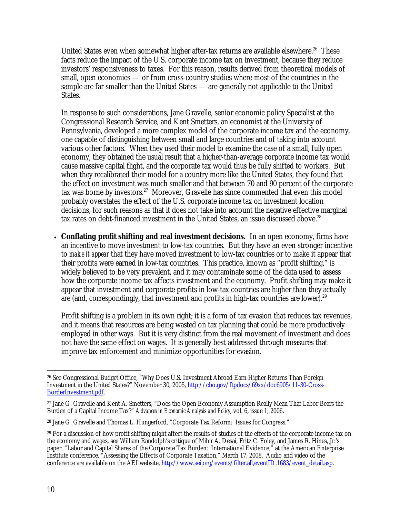United States even when somewhat higher after-tax returns are available elsewhere.<sup>26</sup> These facts reduce the impact of the U.S. corporate income tax on investment, because they reduce investors' responsiveness to taxes. For this reason, results derived from theoretical models of small, open economies — or from cross-country studies where most of the countries in the sample are far smaller than the United States — are generally not applicable to the United States.

In response to such considerations, Jane Gravelle, senior economic policy Specialist at the Congressional Research Service, and Kent Smetters, an economist at the University of Pennsylvania, developed a more complex model of the corporate income tax and the economy, one capable of distinguishing between small and large countries and of taking into account various other factors. When they used their model to examine the case of a small, fully open economy, they obtained the usual result that a higher-than-average corporate income tax would cause massive capital flight, and the corporate tax would thus be fully shifted to workers. But when they recalibrated their model for a country more like the United States, they found that the effect on investment was much smaller and that between 70 and 90 percent of the corporate tax was borne by investors.<sup>27</sup> Moreover, Gravelle has since commented that even this model probably overstates the effect of the U.S. corporate income tax on investment location decisions, for such reasons as that it does not take into account the negative effective marginal tax rates on debt-financed investment in the United States, an issue discussed above.<sup>28</sup>

• **Conflating profit shifting and real investment decisions.** In an open economy, firms have an incentive to move investment to low-tax countries. But they have an even stronger incentive to *make it appear* that they have moved investment to low-tax countries or to make it appear that their profits were earned in low-tax countries. This practice, known as "profit shifting," is widely believed to be very prevalent, and it may contaminate some of the data used to assess how the corporate income tax affects investment and the economy. Profit shifting may make it appear that investment and corporate profits in low-tax countries are higher than they actually are (and, correspondingly, that investment and profits in high-tax countries are lower).<sup>29</sup>

Profit shifting is a problem in its own right; it is a form of tax evasion that reduces tax revenues, and it means that resources are being wasted on tax planning that could be more productively employed in other ways. But it is very distinct from the real movement of investment and does not have the same effect on wages. It is generally best addressed through measures that improve tax enforcement and minimize opportunities for evasion.

<sup>-</sup>26 See Congressional Budget Office, "Why Does U.S. Investment Abroad Earn Higher Returns Than Foreign Investment in the United States?" November 30, 2005, http://cbo.gov/ftpdocs/69xx/doc6905/11-30-Cross-BorderInvestment.pdf.

<sup>27</sup> Jane G. Gravelle and Kent A. Smetters, "Does the Open Economy Assumption Really Mean That Labor Bears the Burden of a Capital Income Tax?" *Advances in Economic Analysis and Policy*, vol. 6, issue 1, 2006.

<sup>28</sup> Jane G. Gravelle and Thomas L. Hungerford, "Corporate Tax Reform: Issues for Congress."

<sup>&</sup>lt;sup>29</sup> For a discussion of how profit shifting might affect the results of studies of the effects of the corporate income tax on the economy and wages, see William Randolph's critique of Mihir A. Desai, Fritz C. Foley, and James R. Hines, Jr.'s paper, "Labor and Capital Shares of the Corporate Tax Burden: International Evidence," at the American Enterprise Institute conference, "Assessing the Effects of Corporate Taxation," March 17, 2008. Audio and video of the conference are available on the AEI website, http://www.aei.org/events/filter.all,eventID.1683/event\_detail.asp.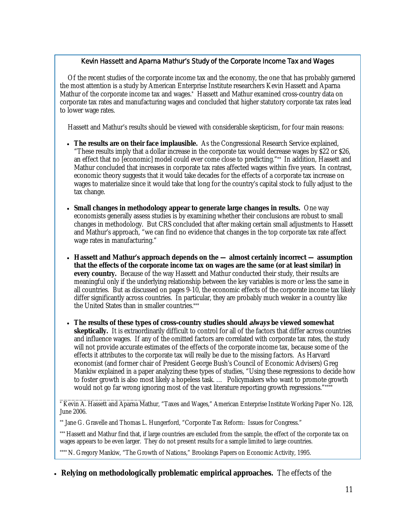# Kevin Hassett and Aparna Mathur's Study of the Corporate Income Tax and Wages

Of the recent studies of the corporate income tax and the economy, the one that has probably garnered the most attention is a study by American Enterprise Institute researchers Kevin Hassett and Aparna Mathur of the corporate income tax and wages.\* Hassett and Mathur examined cross-country data on corporate tax rates and manufacturing wages and concluded that higher statutory corporate tax rates lead to lower wage rates.

Hassett and Mathur's results should be viewed with considerable skepticism, for four main reasons:

- **The results are on their face implausible.** As the Congressional Research Service explained, "These results imply that a dollar increase in the corporate tax would decrease wages by \$22 or \$26, an effect that no [economic] model could ever come close to predicting."\*\* In addition, Hassett and Mathur concluded that increases in corporate tax rates affected wages within five years. In contrast, economic theory suggests that it would take decades for the effects of a corporate tax increase on wages to materialize since it would take that long for the country's capital stock to fully adjust to the tax change.
- **Small changes in methodology appear to generate large changes in results.** One way economists generally assess studies is by examining whether their conclusions are robust to small changes in methodology. But CRS concluded that after making certain small adjustments to Hassett and Mathur's approach, "we can find no evidence that changes in the top corporate tax rate affect wage rates in manufacturing."
- **Hassett and Mathur's approach depends on the almost certainly incorrect assumption that the effects of the corporate income tax on wages are the same (or at least similar) in every country.** Because of the way Hassett and Mathur conducted their study, their results are meaningful only if the underlying relationship between the key variables is more or less the same in all countries. But as discussed on pages 9-10, the economic effects of the corporate income tax likely differ significantly across countries. In particular, they are probably much weaker in a country like the United States than in smaller countries.\*\*\*
- **The results of these types of cross-country studies should always be viewed somewhat skeptically.** It is extraordinarily difficult to control for all of the factors that differ across countries and influence wages. If any of the omitted factors are correlated with corporate tax rates, the study will not provide accurate estimates of the effects of the corporate income tax, because some of the effects it attributes to the corporate tax will really be due to the missing factors. As Harvard economist (and former chair of President George Bush's Council of Economic Advisers) Greg Mankiw explained in a paper analyzing these types of studies, "Using these regressions to decide how to foster growth is also most likely a hopeless task. … Policymakers who want to promote growth would not go far wrong ignoring most of the vast literature reporting growth regressions."\*\*\*\*

\_\_\_\_\_\_\_\_\_\_\_\_\_\_\_\_\_\_\_\_\_\_ \* Kevin A. Hassett and Aparna Mathur, "Taxes and Wages," American Enterprise Institute Working Paper No. 128, June 2006.

\*\* Jane G. Gravelle and Thomas L. Hungerford, "Corporate Tax Reform: Issues for Congress."

\*\*\* Hassett and Mathur find that, if large countries are excluded from the sample, the effect of the corporate tax on wages appears to be even larger. They do not present results for a sample limited to large countries.

\*\*\*\* N. Gregory Mankiw, "The Growth of Nations," Brookings Papers on Economic Activity, 1995.

• **Relying on methodologically problematic empirical approaches.** The effects of the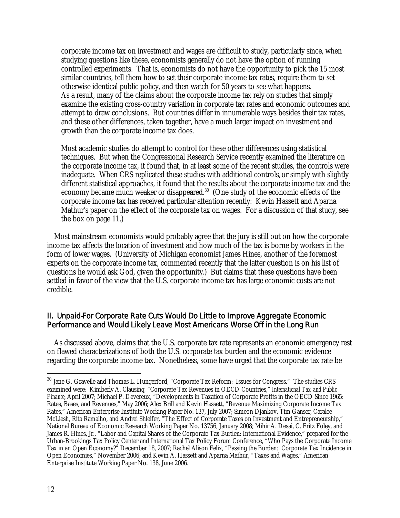corporate income tax on investment and wages are difficult to study, particularly since, when studying questions like these, economists generally do not have the option of running controlled experiments. That is, economists do not have the opportunity to pick the 15 most similar countries, tell them how to set their corporate income tax rates, require them to set otherwise identical public policy, and then watch for 50 years to see what happens. As a result, many of the claims about the corporate income tax rely on studies that simply examine the existing cross-country variation in corporate tax rates and economic outcomes and attempt to draw conclusions. But countries differ in innumerable ways besides their tax rates, and these other differences, taken together, have a much larger impact on investment and growth than the corporate income tax does.

Most academic studies do attempt to control for these other differences using statistical techniques. But when the Congressional Research Service recently examined the literature on the corporate income tax, it found that, in at least some of the recent studies, the controls were inadequate. When CRS replicated these studies with additional controls, or simply with slightly different statistical approaches, it found that the results about the corporate income tax and the economy became much weaker or disappeared.<sup>30</sup> (One study of the economic effects of the corporate income tax has received particular attention recently: Kevin Hassett and Aparna Mathur's paper on the effect of the corporate tax on wages. For a discussion of that study, see the box on page 11.)

 Most mainstream economists would probably agree that the jury is still out on how the corporate income tax affects the location of investment and how much of the tax is borne by workers in the form of lower wages. (University of Michigan economist James Hines, another of the foremost experts on the corporate income tax, commented recently that the latter question is on his list of questions he would ask God, given the opportunity.) But claims that these questions have been settled in favor of the view that the U.S. corporate income tax has large economic costs are not credible.

# II. Unpaid-For Corporate Rate Cuts Would Do Little to Improve Aggregate Economic Performance and Would Likely Leave Most Americans Worse Off in the Long Run

 As discussed above, claims that the U.S. corporate tax rate represents an economic emergency rest on flawed characterizations of both the U.S. corporate tax burden and the economic evidence regarding the corporate income tax. Nonetheless, some have urged that the corporate tax rate be

 $\overline{a}$ 

<sup>&</sup>lt;sup>30</sup> Jane G. Gravelle and Thomas L. Hungerford, "Corporate Tax Reform: Issues for Congress." The studies CRS examined were: Kimberly A. Clausing, "Corporate Tax Revenues in OECD Countries," *International Tax and Public Finance*, April 2007; Michael P. Devereux, "Developments in Taxation of Corporate Profits in the OECD Since 1965: Rates, Bases, and Revenues," May 2006; Alex Brill and Kevin Hassett, "Revenue Maximizing Corporate Income Tax Rates," American Enterprise Institute Working Paper No. 137, July 2007; Simeon Djankov, Tim Ganser, Caralee McLiesh, Rita Ramalho, and Andrei Shleifer, "The Effect of Corporate Taxes on Investment and Entrepreneurship," National Bureau of Economic Research Working Paper No. 13756, January 2008; Mihir A. Desai, C. Fritz Foley, and James R. Hines, Jr., "Labor and Capital Shares of the Corporate Tax Burden: International Evidence," prepared for the Urban-Brookings Tax Policy Center and International Tax Policy Forum Conference, "Who Pays the Corporate Income Tax in an Open Economy?" December 18, 2007; Rachel Alison Felix, "Passing the Burden: Corporate Tax Incidence in Open Economies," November 2006; and Kevin A. Hassett and Aparna Mathur, "Taxes and Wages," American Enterprise Institute Working Paper No. 138, June 2006.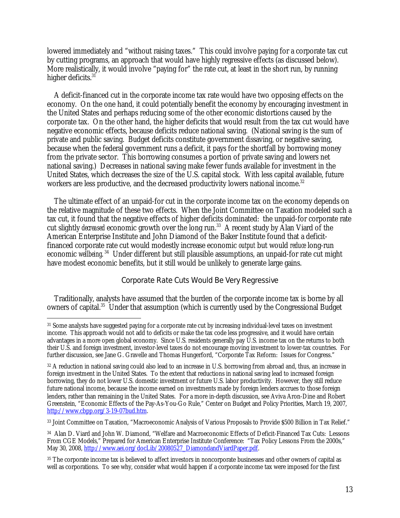lowered immediately and "without raising taxes." This could involve paying for a corporate tax cut by cutting programs, an approach that would have highly regressive effects (as discussed below). More realistically, it would involve "paying for" the rate cut, at least in the short run, by running higher deficits.<sup>31</sup>

 A deficit-financed cut in the corporate income tax rate would have two opposing effects on the economy. On the one hand, it could potentially benefit the economy by encouraging investment in the United States and perhaps reducing some of the other economic distortions caused by the corporate tax. On the other hand, the higher deficits that would result from the tax cut would have negative economic effects, because deficits reduce national saving. (National saving is the sum of private and public saving. Budget deficits constitute government *dis*saving, or negative saving, because when the federal government runs a deficit, it pays for the shortfall by borrowing money from the private sector. This borrowing consumes a portion of private saving and lowers net national saving.) Decreases in national saving make fewer funds available for investment in the United States, which decreases the size of the U.S. capital stock. With less capital available, future workers are less productive, and the decreased productivity lowers national income.<sup>32</sup>

 The ultimate effect of an unpaid-for cut in the corporate income tax on the economy depends on the relative magnitude of these two effects. When the Joint Committee on Taxation modeled such a tax cut, it found that the negative effects of higher deficits dominated: the unpaid-for corporate rate cut slightly *decreased* economic growth over the long run.<sup>33</sup> A recent study by Alan Viard of the American Enterprise Institute and John Diamond of the Baker Institute found that a deficitfinanced corporate rate cut would modestly increase economic *output* but would *reduce* long-run economic *wellbeing*.<sup>34</sup> Under different but still plausible assumptions, an unpaid-for rate cut might have modest economic benefits, but it still would be unlikely to generate large gains.

# Corporate Rate Cuts Would Be Very Regressive

 Traditionally, analysts have assumed that the burden of the corporate income tax is borne by all owners of capital.<sup>35</sup> Under that assumption (which is currently used by the Congressional Budget

 $\overline{a}$ 31 Some analysts have suggested paying for a corporate rate cut by increasing individual-level taxes on investment income. This approach would not add to deficits or make the tax code less progressive, and it would have certain advantages in a more open global economy. Since U.S. residents generally pay U.S. income tax on the returns to both their U.S. and foreign investment, investor-level taxes do not encourage moving investment to lower-tax countries. For further discussion, see Jane G. Gravelle and Thomas Hungerford, "Corporate Tax Reform: Issues for Congress."

<sup>&</sup>lt;sup>32</sup> A reduction in national saving could also lead to an increase in U.S. borrowing from abroad and, thus, an increase in foreign investment in the United States. To the extent that reductions in national saving lead to increased foreign borrowing, they do not lower U.S. domestic investment or future U.S. labor productivity. However, they still reduce future national income, because the income earned on investments made by foreign lenders accrues to those foreign lenders, rather than remaining in the United States. For a more in-depth discussion, see Aviva Aron-Dine and Robert Greenstein, "Economic Effects of the Pay-As-You-Go Rule," Center on Budget and Policy Priorities, March 19, 2007, http://www.cbpp.org/3-19-07bud.htm.

<sup>33</sup> Joint Committee on Taxation, "Macroeconomic Analysis of Various Proposals to Provide \$500 Billion in Tax Relief."

<sup>34</sup> Alan D. Viard and John W. Diamond, "Welfare and Macroeconomic Effects of Deficit-Financed Tax Cuts: Lessons From CGE Models," Prepared for American Enterprise Institute Conference: "Tax Policy Lessons From the 2000s," May 30, 2008, http://www.aei.org/docLib/20080527\_DiamondandViardPaper.pdf.

<sup>35</sup> The corporate income tax is believed to affect investors in noncorporate businesses and other owners of capital as well as corporations. To see why, consider what would happen if a corporate income tax were imposed for the first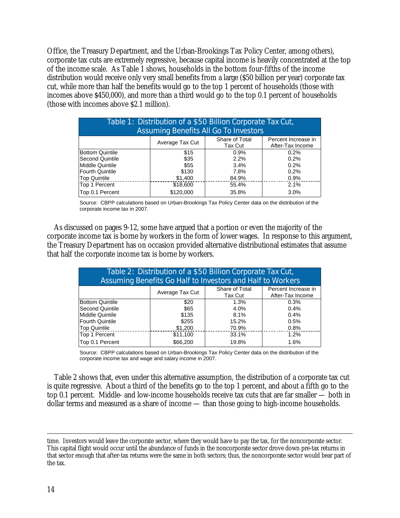Office, the Treasury Department, and the Urban-Brookings Tax Policy Center, among others), corporate tax cuts are extremely regressive, because capital income is heavily concentrated at the top of the income scale. As Table 1 shows, households in the bottom four-fifths of the income distribution would receive only very small benefits from a large (\$50 billion per year) corporate tax cut, while more than half the benefits would go to the top 1 percent of households (those with incomes above \$450,000), and more than a third would go to the top 0.1 percent of households (those with incomes above \$2.1 million).

| Table 1: Distribution of a \$50 Billion Corporate Tax Cut,<br><b>Assuming Benefits All Go To Investors</b> |                 |                           |                                         |  |  |
|------------------------------------------------------------------------------------------------------------|-----------------|---------------------------|-----------------------------------------|--|--|
|                                                                                                            | Average Tax Cut | Share of Total<br>Tax Cut | Percent Increase in<br>After-Tax Income |  |  |
| <b>Bottom Quintile</b>                                                                                     | \$15            | 0.9%                      | 0.2%                                    |  |  |
| <b>Second Quintile</b>                                                                                     | \$35            | 2.2%                      | 0.2%                                    |  |  |
| <b>Middle Quintile</b>                                                                                     | \$55            | 3.4%                      | 0.2%                                    |  |  |
| <b>Fourth Quintile</b>                                                                                     | \$130           | 7.8%                      | 0.2%                                    |  |  |
| <b>Top Quintile</b>                                                                                        | \$1,400         | 84.9%                     | 0.9%                                    |  |  |
| Top 1 Percent                                                                                              | \$18,600        | 55.4%                     | 2.1%                                    |  |  |
| Top 0.1 Percent                                                                                            | \$120,000       | 35.8%                     | 3.0%                                    |  |  |

Source: CBPP calculations based on Urban-Brookings Tax Policy Center data on the distribution of the corporate income tax in 2007.

 As discussed on pages 9-12, some have argued that a portion or even the majority of the corporate income tax is borne by workers in the form of lower wages. In response to this argument, the Treasury Department has on occasion provided alternative distributional estimates that assume that half the corporate income tax is borne by workers.

| Table 2: Distribution of a \$50 Billion Corporate Tax Cut,<br>Assuming Benefits Go Half to Investors and Half to Workers |                 |                |                     |  |  |
|--------------------------------------------------------------------------------------------------------------------------|-----------------|----------------|---------------------|--|--|
|                                                                                                                          | Average Tax Cut | Share of Total | Percent Increase in |  |  |
|                                                                                                                          |                 | Tax Cut        | After-Tax Income    |  |  |
| <b>Bottom Quintile</b>                                                                                                   | \$20            | 1.3%           | 0.3%                |  |  |
| Second Quintile                                                                                                          | \$65            | 4.0%           | 0.4%                |  |  |
| Middle Quintile                                                                                                          | \$135           | 8.1%           | 0.4%                |  |  |
| <b>Fourth Quintile</b>                                                                                                   | \$255           | 15.2%          | 0.5%                |  |  |
| <b>Top Quintile</b>                                                                                                      | \$1,200         | 70.9%          | 0.8%                |  |  |
| Top 1 Percent                                                                                                            | \$11,100        | 33.1%          | 1.2%                |  |  |
| Top 0.1 Percent                                                                                                          | \$66,200        | 19.8%          | 1.6%                |  |  |

Source: CBPP calculations based on Urban-Brookings Tax Policy Center data on the distribution of the corporate income tax and wage and salary income in 2007.

 Table 2 shows that, even under this alternative assumption, the distribution of a corporate tax cut is quite regressive. About a third of the benefits go to the top 1 percent, and about a fifth go to the top 0.1 percent. Middle- and low-income households receive tax cuts that are far smaller — both in dollar terms and measured as a share of income — than those going to high-income households.

time. Investors would leave the corporate sector, where they would have to pay the tax, for the noncorporate sector. This capital flight would occur until the abundance of funds in the noncorporate sector drove down pre-tax returns in that sector enough that after-tax returns were the same in both sectors; thus, the noncorporate sector would bear part of the tax.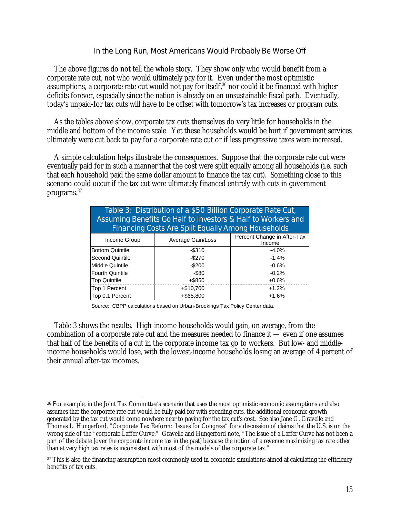#### In the Long Run, Most Americans Would Probably Be Worse Off

The above figures do not tell the whole story. They show only who would benefit from a corporate rate cut, not who would ultimately pay for it. Even under the most optimistic assumptions, a corporate rate cut would not pay for itself, $36$  nor could it be financed with higher deficits forever, especially since the nation is already on an unsustainable fiscal path. Eventually, today's unpaid-for tax cuts will have to be offset with tomorrow's tax increases or program cuts.

 As the tables above show, corporate tax cuts themselves do very little for households in the middle and bottom of the income scale. Yet these households would be hurt if government services ultimately were cut back to pay for a corporate rate cut or if less progressive taxes were increased.

 A simple calculation helps illustrate the consequences. Suppose that the corporate rate cut were eventually paid for in such a manner that the cost were split equally among all households (i.e. such that each household paid the same dollar amount to finance the tax cut). Something close to this scenario could occur if the tax cut were ultimately financed entirely with cuts in government programs.37

| Table 3: Distribution of a \$50 Billion Corporate Rate Cut,<br>Assuming Benefits Go Half to Investors & Half to Workers and<br><b>Financing Costs Are Split Equally Among Households</b> |                   |                                       |  |  |  |
|------------------------------------------------------------------------------------------------------------------------------------------------------------------------------------------|-------------------|---------------------------------------|--|--|--|
| Income Group                                                                                                                                                                             | Average Gain/Loss | Percent Change in After-Tax<br>Income |  |  |  |
| <b>Bottom Quintile</b>                                                                                                                                                                   | $-$ \$310         | $-4.0%$                               |  |  |  |
| Second Quintile                                                                                                                                                                          | $-$270$           | $-1.4%$                               |  |  |  |
| <b>Middle Quintile</b>                                                                                                                                                                   | $-$200$           | $-0.6%$                               |  |  |  |
| <b>Fourth Quintile</b>                                                                                                                                                                   | $-$ \$80          | $-0.2%$                               |  |  |  |
| <b>Top Quintile</b>                                                                                                                                                                      | +\$850            | $+0.6%$                               |  |  |  |
| Top 1 Percent                                                                                                                                                                            | $+ $10,700$       | $+1.2%$                               |  |  |  |
| Top 0.1 Percent                                                                                                                                                                          | $+$ \$65,800      | $+1.6%$                               |  |  |  |

Source: CBPP calculations based on Urban-Brookings Tax Policy Center data.

 Table 3 shows the results. High-income households would gain, on average, from the combination of a corporate rate cut and the measures needed to finance it — even if one assumes that half of the benefits of a cut in the corporate income tax go to workers. But low- and middleincome households would lose, with the lowest-income households losing an average of 4 percent of their annual after-tax incomes.

<sup>-</sup>36 For example, in the Joint Tax Committee's scenario that uses the most optimistic economic assumptions and also assumes that the corporate rate cut would be fully paid for with spending cuts, the additional economic growth generated by the tax cut would come nowhere near to paying for the tax cut's cost. See also Jane G. Gravelle and Thomas L. Hungerford, "Corporate Tax Reform: Issues for Congress" for a discussion of claims that the U.S. is on the wrong side of the "corporate Laffer Curve." Gravelle and Hungerford note, "The issue of a Laffer Curve has not been a part of the debate [over the corporate income tax in the past] because the notion of a revenue maximizing tax rate other than at very high tax rates is inconsistent with most of the models of the corporate tax."

<sup>&</sup>lt;sup>37</sup> This is also the financing assumption most commonly used in economic simulations aimed at calculating the efficiency benefits of tax cuts.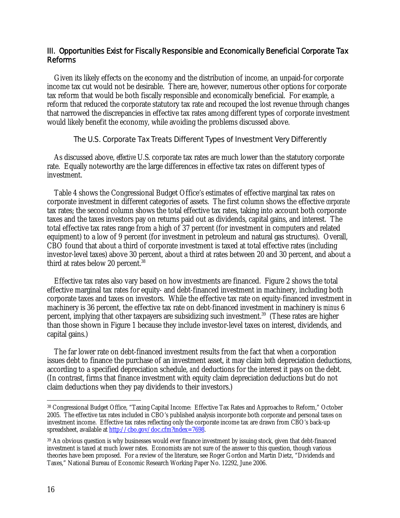# III. Opportunities Exist for Fiscally Responsible and Economically Beneficial Corporate Tax Reforms

Given its likely effects on the economy and the distribution of income, an unpaid-for corporate income tax cut would not be desirable. There are, however, numerous other options for corporate tax reform that would be both fiscally responsible and economically beneficial. For example, a reform that reduced the corporate statutory tax rate and recouped the lost revenue through changes that narrowed the discrepancies in effective tax rates among different types of corporate investment would likely benefit the economy, while avoiding the problems discussed above.

# The U.S. Corporate Tax Treats Different Types of Investment Very Differently

 As discussed above, *effective* U.S. corporate tax rates are much lower than the statutory corporate rate. Equally noteworthy are the large differences in effective tax rates on different types of investment.

 Table 4 shows the Congressional Budget Office's estimates of effective marginal tax rates on corporate investment in different categories of assets. The first column shows the effective *corporate*  tax rates; the second column shows the total effective tax rates, taking into account both corporate taxes and the taxes investors pay on returns paid out as dividends, capital gains, and interest. The total effective tax rates range from a high of 37 percent (for investment in computers and related equipment) to a low of 9 percent (for investment in petroleum and natural gas structures). Overall, CBO found that about a third of corporate investment is taxed at total effective rates (including investor-level taxes) above 30 percent, about a third at rates between 20 and 30 percent, and about a third at rates below 20 percent.<sup>38</sup>

 Effective tax rates also vary based on how investments are financed. Figure 2 shows the total effective marginal tax rates for equity- and debt-financed investment in machinery, including both corporate taxes and taxes on investors. While the effective tax rate on equity-financed investment in machinery is 36 percent, the effective tax rate on debt-financed investment in machinery is *minus* 6 percent, implying that other taxpayers are subsidizing such investment.39 (These rates are higher than those shown in Figure 1 because they include investor-level taxes on interest, dividends, and capital gains.)

 The far lower rate on debt-financed investment results from the fact that when a corporation issues debt to finance the purchase of an investment asset, it may claim *both* depreciation deductions, according to a specified depreciation schedule, *and* deductions for the interest it pays on the debt. (In contrast, firms that finance investment with equity claim depreciation deductions but do not claim deductions when they pay dividends to their investors.)

 $\overline{a}$ 38 Congressional Budget Office, "Taxing Capital Income: Effective Tax Rates and Approaches to Reform," October 2005. The effective tax rates included in CBO's published analysis incorporate both corporate and personal taxes on investment income. Effective tax rates reflecting only the corporate income tax are drawn from CBO's back-up spreadsheet, available at http://cbo.gov/doc.cfm?index=7698.

<sup>39</sup> An obvious question is why businesses would ever finance investment by issuing stock, given that debt-financed investment is taxed at much lower rates. Economists are not sure of the answer to this question, though various theories have been proposed. For a review of the literature, see Roger Gordon and Martin Dietz, "Dividends and Taxes," National Bureau of Economic Research Working Paper No. 12292, June 2006.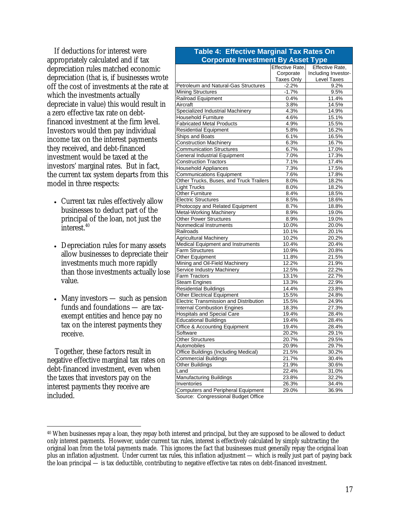If deductions for interest were appropriately calculated and if tax depreciation rules matched economic depreciation (that is, if businesses wrote off the cost of investments at the rate at which the investments actually depreciate in value) this would result in a zero effective tax rate on debtfinanced investment at the firm level. Investors would then pay individual income tax on the interest payments they received, and debt-financed investment would be taxed at the investors' marginal rates. But in fact, the current tax system departs from this model in three respects:

- Current tax rules effectively allow businesses to deduct part of the principal of the loan, not just the interest.<sup>40</sup>
- Depreciation rules for many assets allow businesses to depreciate their investments much more rapidly than those investments actually lose value.
- Many investors such as pension funds and foundations — are taxexempt entities and hence pay no tax on the interest payments they receive.

Together, these factors result in negative effective marginal tax rates on debt-financed investment, even when the taxes that investors pay on the interest payments they receive are included.

| <b>Corporate Investment By Asset Type</b>     |                 |                     |  |  |
|-----------------------------------------------|-----------------|---------------------|--|--|
|                                               | Effective Rate, | Effective Rate,     |  |  |
|                                               | Corporate       | Including Investor- |  |  |
|                                               | Taxes Only      | Level Taxes         |  |  |
| Petroleum and Natural-Gas Structures          | $-2.2%$         | 9.2%                |  |  |
| <b>Mining Structures</b>                      | $-1.7%$         | 9.5%                |  |  |
| Railroad Equipment                            | 0.4%            | 11.4%               |  |  |
| Aircraft                                      | 3.8%            | 14.5%               |  |  |
| Specialized Industrial Machinery              | 4.3%            | 14.9%               |  |  |
| <b>Household Furniture</b>                    | 4.6%            | 15.1%               |  |  |
| <b>Fabricated Metal Products</b>              | 4.9%            | 15.5%               |  |  |
| Residential Equipment                         | 5.8%            | 16.2%               |  |  |
| Ships and Boats                               | 6.1%            | 16.5%               |  |  |
| <b>Construction Machinery</b>                 | 6.3%            | 16.7%               |  |  |
| <b>Communication Structures</b>               | 6.7%            | 17.0%               |  |  |
| <b>General Industrial Equipment</b>           | 7.0%            | 17.3%               |  |  |
| Construction Tractors                         | 7.1%            | 17.4%               |  |  |
| <b>Household Appliances</b>                   | 7.3%            | 17.5%               |  |  |
| <b>Communications Equipment</b>               | 7.6%            | 17.8%               |  |  |
| Other Trucks, Buses, and Truck Trailers       | 8.0%            | 18.2%               |  |  |
| <b>Light Trucks</b>                           | 8.0%            | 18.2%               |  |  |
| <b>Other Furniture</b>                        | 8.4%            | 18.5%               |  |  |
| <b>Electric Structures</b>                    | 8.5%            | 18.6%               |  |  |
| Photocopy and Related Equipment               | 8.7%            | 18.8%               |  |  |
| <b>Metal-Working Machinery</b>                | 8.9%            | 19.0%               |  |  |
| <b>Other Power Structures</b>                 | 8.9%            | 19.0%               |  |  |
| Nonmedical Instruments                        | 10.0%           | 20.0%               |  |  |
| Railroads                                     | 10.1%           | 20.1%               |  |  |
| Agricultural Machinery                        | 10.2%           | 20.2%               |  |  |
| Medical Equipment and Instruments             | 10.4%           | 20.4%               |  |  |
| Farm Structures                               | 10.9%           | 20.8%               |  |  |
| Other Equipment                               | 11.8%           | 21.5%               |  |  |
| Mining and Oil-Field Machinery                | 12.2%           | 21.9%               |  |  |
| Service Industry Machinery                    | 12.5%           | 22.2%               |  |  |
| Farm Tractors                                 | 13.1%           | 22.7%               |  |  |
| <b>Steam Engines</b>                          | 13.3%           | 22.9%               |  |  |
| <b>Residential Buildings</b>                  | 14.4%           | 23.8%               |  |  |
| <b>Other Electrical Equipment</b>             | 15.5%           | 24.8%               |  |  |
| <b>Electric Transmission and Distribution</b> | 15.5%           | 24.9%               |  |  |
| <b>Internal Combustion Engines</b>            | 18.3%           | 27.3%               |  |  |
| <b>Hospitals and Special Care</b>             | 19.4%           | 28.4%               |  |  |
| <b>Educational Buildings</b>                  | 19.4%           | 28.4%               |  |  |
| Office & Accounting Equipment                 | 19.4%           | 28.4%               |  |  |
| Software                                      | 20.2%           | 29.1%               |  |  |
| <b>Other Structures</b>                       | 20.7%           | 29.5%               |  |  |
| Automobiles                                   | 20.9%           | 29.7%               |  |  |
| <b>Office Buildings (Including Medical)</b>   | 21.5%           | 30.2%               |  |  |
| <b>Commercial Buildings</b>                   | 21.7%           | 30.4%               |  |  |
| <b>Other Buildings</b>                        | 21.9%           | 30.6%               |  |  |
| Land                                          | 22.4%           | 31.0%               |  |  |
| <b>Manufacturing Buildings</b>                | 23.8%           | 32.2%               |  |  |
| Inventories                                   | 26.3%           | 34.4%               |  |  |
| <b>Computers and Peripheral Equipment</b>     | 29.0%           | 36.9%               |  |  |

**Table 4: Effective Marginal Tax Rates On** 

Source: Congressional Budget Office

 $\overline{a}$ 40 When businesses repay a loan, they repay both interest and principal, but they are supposed to be allowed to deduct only interest payments. However, under current tax rules, interest is effectively calculated by simply subtracting the original loan from the total payments made. This ignores the fact that businesses must generally repay the original loan plus an inflation adjustment. Under current tax rules, this inflation adjustment — which is really just part of paying back the loan principal — is tax deductible, contributing to negative effective tax rates on debt-financed investment.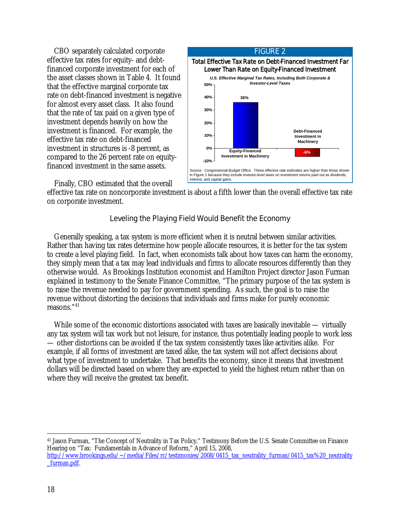CBO separately calculated corporate effective tax rates for equity- and debtfinanced corporate investment for each of the asset classes shown in Table 4. It found that the effective marginal corporate tax rate on debt-financed investment is negative for almost every asset class. It also found that the rate of tax paid on a given type of investment depends heavily on how the investment is financed. For example, the effective tax rate on debt-financed investment in structures is -8 percent, as compared to the 26 percent rate on equityfinanced investment in the same assets.



Finally, CBO estimated that the overall

effective tax rate on noncorporate investment is about a fifth lower than the overall effective tax rate on corporate investment.

# Leveling the Playing Field Would Benefit the Economy

 Generally speaking, a tax system is more efficient when it is neutral between similar activities. Rather than having tax rates determine how people allocate resources, it is better for the tax system to create a level playing field. In fact, when economists talk about how taxes can harm the economy, they simply mean that a tax may lead individuals and firms to allocate resources differently than they otherwise would. As Brookings Institution economist and Hamilton Project director Jason Furman explained in testimony to the Senate Finance Committee, "The primary purpose of the tax system is to raise the revenue needed to pay for government spending. As such, the goal is to raise the revenue without distorting the decisions that individuals and firms make for purely economic reasons."41

While some of the economic distortions associated with taxes are basically inevitable — virtually any tax system will tax work but not leisure, for instance, thus potentially leading people to work less — other distortions can be avoided if the tax system consistently taxes like activities alike. For example, if all forms of investment are taxed alike, the tax system will not affect decisions about what type of investment to undertake. That benefits the economy, since it means that investment dollars will be directed based on where they are expected to yield the highest return rather than on where they will receive the greatest tax benefit.

41 Jason Furman, "The Concept of Neutrality in Tax Policy," Testimony Before the U.S. Senate Committee on Finance Hearing on "Tax: Fundamentals in Advance of Reform," April 15, 2008, http://www.brookings.edu/~/media/Files/rc/testimonies/2008/0415\_tax\_neutrality\_furman/0415\_tax%20\_neutrality \_furman.pdf.

 $\overline{a}$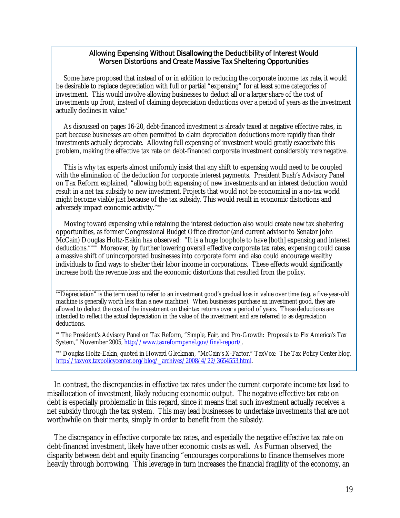#### Allowing Expensing Without *Disallowing* the Deductibility of Interest Would Worsen Distortions and Create Massive Tax Sheltering Opportunities

Some have proposed that instead of or in addition to reducing the corporate income tax rate, it would be desirable to replace depreciation with full or partial "expensing" for at least some categories of investment. This would involve allowing businesses to deduct all or a larger share of the cost of investments up front, instead of claiming depreciation deductions over a period of years as the investment actually declines in value.\*

As discussed on pages 16-20, debt-financed investment is already taxed at negative effective rates, in part because businesses are often permitted to claim depreciation deductions more rapidly than their investments actually depreciate. Allowing full expensing of investment would greatly exacerbate this problem, making the effective tax rate on debt-financed corporate investment considerably *more* negative.

This is why tax experts almost uniformly insist that any shift to expensing would need to be coupled with the elimination of the deduction for corporate interest payments. President Bush's Advisory Panel on Tax Reform explained, "allowing both expensing of new investments *and* an interest deduction would result in a net tax subsidy to new investment. Projects that would not be economical in a no-tax world might become viable just because of the tax subsidy. This would result in economic distortions and adversely impact economic activity."\*\*

Moving toward expensing while retaining the interest deduction also would create new tax sheltering opportunities, as former Congressional Budget Office director (and current advisor to Senator John McCain) Douglas Holtz-Eakin has observed: "It is a huge loophole to have [both] expensing and interest deductions."\*\*\* Moreover, by further lowering overall effective corporate tax rates, expensing could cause a massive shift of unincorporated businesses into corporate form and also could encourage wealthy individuals to find ways to shelter their labor income in corporations. These effects would significantly increase both the revenue loss and the economic distortions that resulted from the policy.

\*\*\* Douglas Holtz-Eakin, quoted in Howard Gleckman, "McCain's X-Factor," TaxVox: The Tax Policy Center blog, http://taxvox.taxpolicycenter.org/blog/\_archives/2008/4/22/3654553.html.

 In contrast, the discrepancies in effective tax rates under the current corporate income tax lead to misallocation of investment, likely reducing economic output. The negative effective tax rate on debt is especially problematic in this regard, since it means that such investment actually receives a net subsidy through the tax system. This may lead businesses to undertake investments that are not worthwhile on their merits, simply in order to benefit from the subsidy.

 The discrepancy in effective corporate tax rates, and especially the negative effective tax rate on debt-financed investment, likely have other economic costs as well. As Furman observed, the disparity between debt and equity financing "encourages corporations to finance themselves more heavily through borrowing. This leverage in turn increases the financial fragility of the economy, an

\_\_\_\_\_\_\_\_\_\_\_\_\_\_\_\_\_\_\_\_\_\_\_\_\_\_\_\_\_\_\_\_ \*"Depreciation" is the term used to refer to an investment good's gradual loss in value over time (e.g. a five-year-old machine is generally worth less than a new machine). When businesses purchase an investment good, they are allowed to deduct the cost of the investment on their tax returns over a period of years. These deductions are intended to reflect the actual depreciation in the value of the investment and are referred to as depreciation deductions.

<sup>\*\*</sup> The President's Advisory Panel on Tax Reform, "Simple, Fair, and Pro-Growth: Proposals to Fix America's Tax System," November 2005, http://www.taxreformpanel.gov/final-report/.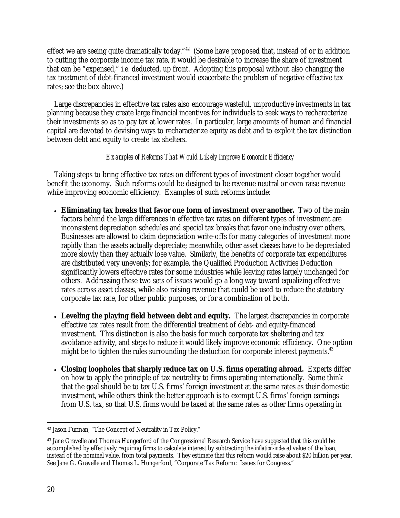effect we are seeing quite dramatically today."<sup>42</sup> (Some have proposed that, instead of or in addition to cutting the corporate income tax rate, it would be desirable to increase the share of investment that can be "expensed," i.e. deducted, up front. Adopting this proposal without also changing the tax treatment of debt-financed investment would exacerbate the problem of negative effective tax rates; see the box above.)

 Large discrepancies in effective tax rates also encourage wasteful, unproductive investments in tax planning because they create large financial incentives for individuals to seek ways to recharacterize their investments so as to pay tax at lower rates. In particular, large amounts of human and financial capital are devoted to devising ways to recharacterize equity as debt and to exploit the tax distinction between debt and equity to create tax shelters.

### *Examples of Reforms That Would Likely Improve Economic Efficiency*

 Taking steps to bring effective tax rates on different types of investment closer together would benefit the economy. Such reforms could be designed to be revenue neutral or even raise revenue while improving economic efficiency. Examples of such reforms include:

- **Eliminating tax breaks that favor one form of investment over another.** Two of the main factors behind the large differences in effective tax rates on different types of investment are inconsistent depreciation schedules and special tax breaks that favor one industry over others. Businesses are allowed to claim depreciation write-offs for many categories of investment more rapidly than the assets actually depreciate; meanwhile, other asset classes have to be depreciated more slowly than they actually lose value. Similarly, the benefits of corporate tax expenditures are distributed very unevenly; for example, the Qualified Production Activities Deduction significantly lowers effective rates for some industries while leaving rates largely unchanged for others. Addressing these two sets of issues would go a long way toward equalizing effective rates across asset classes, while also raising revenue that could be used to reduce the statutory corporate tax rate, for other public purposes, or for a combination of both.
- Leveling the playing field between debt and equity. The largest discrepancies in corporate effective tax rates result from the differential treatment of debt- and equity-financed investment. This distinction is also the basis for much corporate tax sheltering and tax avoidance activity, and steps to reduce it would likely improve economic efficiency. One option might be to tighten the rules surrounding the deduction for corporate interest payments. $43$
- **Closing loopholes that sharply reduce tax on U.S. firms operating abroad.** Experts differ on how to apply the principle of tax neutrality to firms operating internationally. Some think that the goal should be to tax U.S. firms' foreign investment at the same rates as their domestic investment, while others think the better approach is to exempt U.S. firms' foreign earnings from U.S. tax, so that U.S. firms would be taxed at the same rates as other firms operating in

 $\overline{a}$ 42 Jason Furman, "The Concept of Neutrality in Tax Policy."

<sup>43</sup> Jane Gravelle and Thomas Hungerford of the Congressional Research Service have suggested that this could be accomplished by effectively requiring firms to calculate interest by subtracting the *inflation-indexed* value of the loan, instead of the nominal value, from total payments. They estimate that this reform would raise about \$20 billion per year. See Jane G. Gravelle and Thomas L. Hungerford, "Corporate Tax Reform: Issues for Congress."